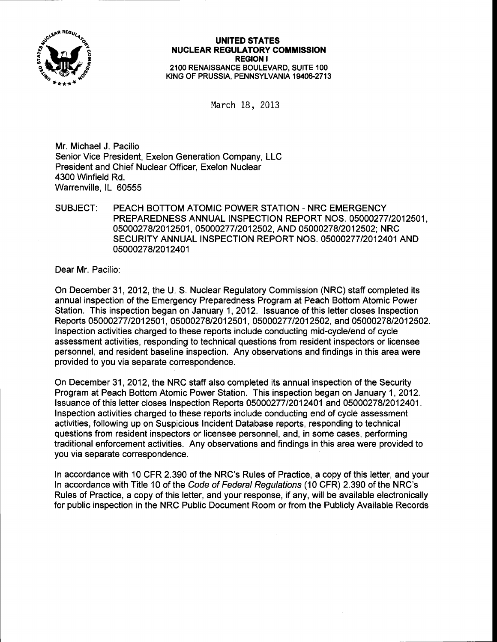

## UNITED STATES **NUCLEAR REGULATORY COMMISSION** REGION I 21OO RENAISSANCE BOULEVARD, SUITE 1OO KING OF PRUSSIA, PENNSYLVANIA 19406-2713

March iB, <sup>2013</sup>

Mr. Michael J. Pacilio Senior Vice President, Exelon Generation Company, LLC President and Chief Nuclear Officer. Exelon Nuclear 4300 Winfield Rd. Warrenville, IL 60555

SUBJECT: PEACH BOTTOM ATOMIC POWER STATION - NRC EMERGENCY PREPAREDNESS ANNUAL INSPECTION REPORT NOS. 05000277/2012501, 05000278/2012501, 05000277/2012502, AND 05000278/2012502; NRC SECURITY ANNUAL INSPECTION REPORT NOS. O5OOO277I2O124O1 AND 05000278/2012401

Dear Mr. Pacilio:

On December 31 ,2012, the U. S. Nuclear Regulatory Commission (NRC) staff completed its annual inspection of the Emergency Preparedness Program at Peach Bottom Atomic Power Station. This inspection began on January 1,2012. lssuance of this letter closes Inspection Reports 0500027712012501, 05000278/2012501,0500027712012502, and 0500027812012502. Inspection activities charged to these reports include conducting mid-cycle/end of cycle assessment activities, responding to technical questions from resident inspectors or licensee personnel, and resident baseline inspection. Any observations and findings in this area were provided to you via separate correspondence.

On December 31, 2012, the NRC staff also completed its annual inspection of the Security Program at Peach Bottom Atomic Power Station. This inspection began on January 1, 2012. lssuance of this letter closes Inspection Reports 05000277/2012401 and 05000278/2012401. Inspection activities charged to these reports include conducting end of cycle assessment activities, following up on Suspicious Incident Database reports, responding to technical questions from resident inspectors or licensee personnel, and, in some cases, performing traditional enforcement activities. Any observations and findings in this area were provided to you via separate correspondence.

In accordance with 10 CFR 2.390 of the NRC's Rules of Practice, a copy of this letter, and your ln accordance with Title 10 of the Code of Federal Regulations (10 CFR) 2.390 of the NRC's Rules of Practice, a copy of this letter, and your response, if any, will be available electronically for public inspection in the NRC Public Document Room or from the Publicly Available Records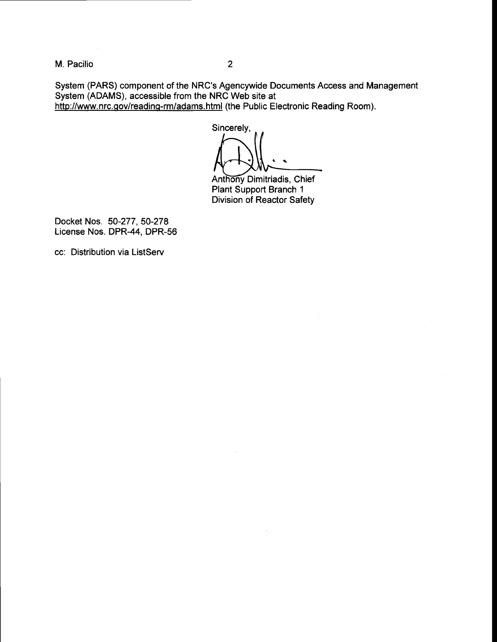M. Pacilio

 $\overline{2}$ 

System (PARS) component of the NRC's Agencywide Documents Access and Management System (ADAMS), accessible from the NRC Web site at http://www.nrc.gov/reading-rm/adams.html (the Public Electronic Reading Room).

Sincerely,

Anthony Dimitriadis, Chief Plant Support Branch <sup>1</sup> Division of Reactor Safety

Docket Nos. 50-277, 50-278 License Nos. DPR-44, DPR-56

cc: Distribution via ListServ